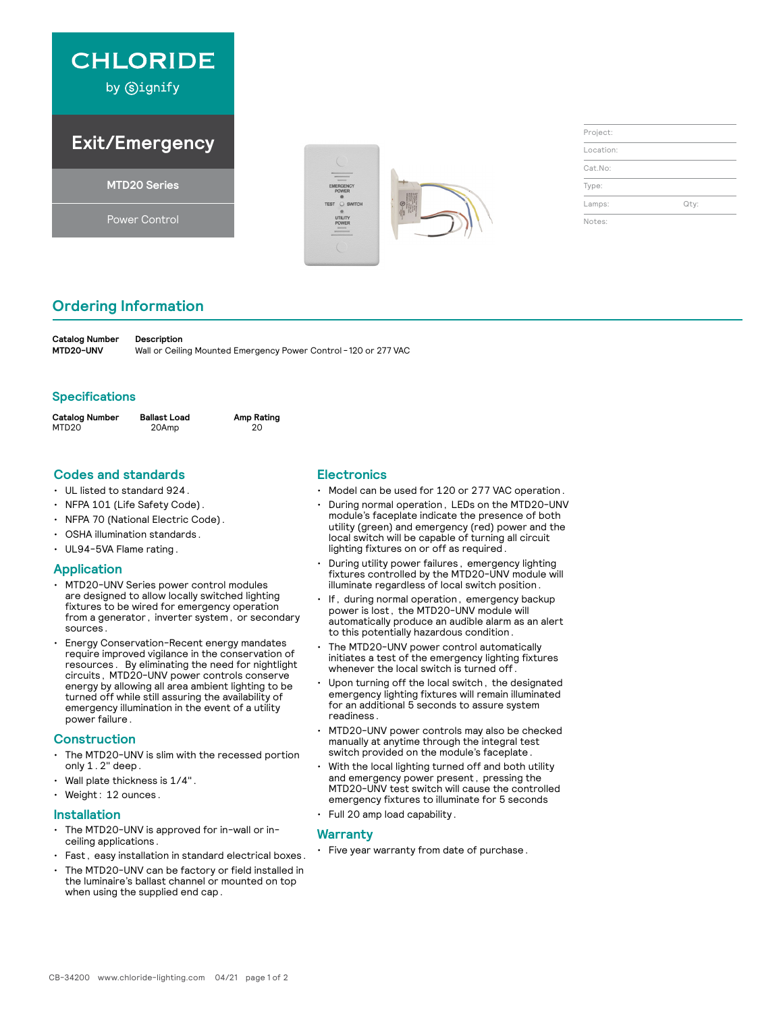

by Signify

## **Exit/Emergency**

**MTD20 Series**

Power Control



| Project:  |      |
|-----------|------|
| Location: |      |
| Cat.No:   |      |
| Type:     |      |
| Lamps:    | Qty: |
| Notes:    |      |

### **Ordering Information**

**Catalog Number Description<br>MTD20-UNV Wall or Ceilin** Wall or Ceiling Mounted Emergency Power Control - 120 or 277 VAC

#### **Specifications**

| <b>Catalog Number</b> | Ballast Load | Amp Rating |
|-----------------------|--------------|------------|
| MTD20                 | 20Amp        | 20         |

#### **Codes and standards**

- UL listed to standard 924.
- NFPA 101 (Life Safety Code).
- NFPA 70 (National Electric Code).
- OSHA illumination standards.
- UL94-5VA Flame rating.

#### **Application**

- MTD20-UNV Series power control modules are designed to allow locally switched lighting fixtures to be wired for emergency operation from a generator, inverter system, or secondary sources.
- Energy Conservation-Recent energy mandates require improved vigilance in the conservation of resources. By eliminating the need for nightlight circuits, MTD20-UNV power controls conserve energy by allowing all area ambient lighting to be turned off while still assuring the availability of emergency illumination in the event of a utility power failure.

#### **Construction**

- The MTD20-UNV is slim with the recessed portion only 1.2" deep.
- Wall plate thickness is 1/4".
- Weight: 12 ounces.

#### **Installation**

- The MTD20-UNV is approved for in-wall or inceiling applications.
- Fast, easy installation in standard electrical boxes.
- The MTD20-UNV can be factory or field installed in the luminaire's ballast channel or mounted on top when using the supplied end cap.

#### **Electronics**

- Model can be used for 120 or 277 VAC operation.
- During normal operation, LEDs on the MTD20-UNV module's faceplate indicate the presence of both utility (green) and emergency (red) power and the local switch will be capable of turning all circuit lighting fixtures on or off as required.
- During utility power failures, emergency lighting fixtures controlled by the MTD20-UNV module will illuminate regardless of local switch position.
- If, during normal operation, emergency backup power is lost, the MTD20-UNV module will automatically produce an audible alarm as an alert to this potentially hazardous condition.
- The MTD20-UNV power control automatically initiates a test of the emergency lighting fixtures whenever the local switch is turned off.
- Upon turning off the local switch, the designated emergency lighting fixtures will remain illuminated for an additional 5 seconds to assure system readiness.
- MTD20-UNV power controls may also be checked manually at anytime through the integral test switch provided on the module's faceplate.
- With the local lighting turned off and both utility and emergency power present, pressing the MTD20-UNV test switch will cause the controlled emergency fixtures to illuminate for 5 seconds
- Full 20 amp load capability.

#### **Warranty**

• Five year warranty from date of purchase.